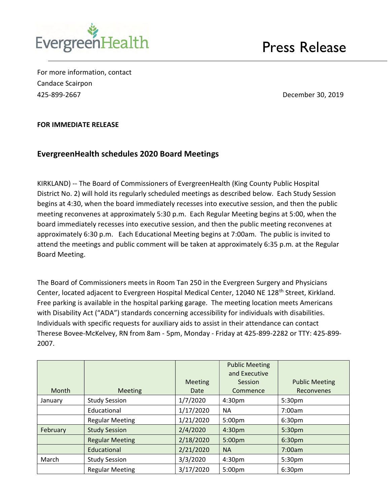

For more information, contact Candace Scairpon 425-899-2667 December 30, 2019

## FOR IMMEDIATE RELEASE

## EvergreenHealth schedules 2020 Board Meetings

KIRKLAND) -- The Board of Commissioners of EvergreenHealth (King County Public Hospital District No. 2) will hold its regularly scheduled meetings as described below. Each Study Session begins at 4:30, when the board immediately recesses into executive session, and then the public meeting reconvenes at approximately 5:30 p.m. Each Regular Meeting begins at 5:00, when the board immediately recesses into executive session, and then the public meeting reconvenes at approximately 6:30 p.m. Each Educational Meeting begins at 7:00am. The public is invited to attend the meetings and public comment will be taken at approximately 6:35 p.m. at the Regular Board Meeting.

The Board of Commissioners meets in Room Tan 250 in the Evergreen Surgery and Physicians Center, located adjacent to Evergreen Hospital Medical Center, 12040 NE 128<sup>th</sup> Street, Kirkland. Free parking is available in the hospital parking garage. The meeting location meets Americans with Disability Act ("ADA") standards concerning accessibility for individuals with disabilities. Individuals with specific requests for auxiliary aids to assist in their attendance can contact Therese Bovee-McKelvey, RN from 8am - 5pm, Monday - Friday at 425-899-2282 or TTY: 425-899- 2007.

|          |                        |                        | <b>Public Meeting</b><br>and Executive |                                            |
|----------|------------------------|------------------------|----------------------------------------|--------------------------------------------|
| Month    | <b>Meeting</b>         | <b>Meeting</b><br>Date | Session<br>Commence                    | <b>Public Meeting</b><br><b>Reconvenes</b> |
| January  | <b>Study Session</b>   | 1/7/2020               | 4:30 <sub>pm</sub>                     | 5:30pm                                     |
|          | Educational            | 1/17/2020              | <b>NA</b>                              | 7:00am                                     |
|          | <b>Regular Meeting</b> | 1/21/2020              | 5:00pm                                 | 6:30pm                                     |
| February | <b>Study Session</b>   | 2/4/2020               | 4:30pm                                 | 5:30pm                                     |
|          | <b>Regular Meeting</b> | 2/18/2020              | 5:00pm                                 | 6:30pm                                     |
|          | Educational            | 2/21/2020              | <b>NA</b>                              | 7:00am                                     |
| March    | <b>Study Session</b>   | 3/3/2020               | 4:30 <sub>pm</sub>                     | 5:30pm                                     |
|          | <b>Regular Meeting</b> | 3/17/2020              | 5:00pm                                 | 6:30 <sub>pm</sub>                         |